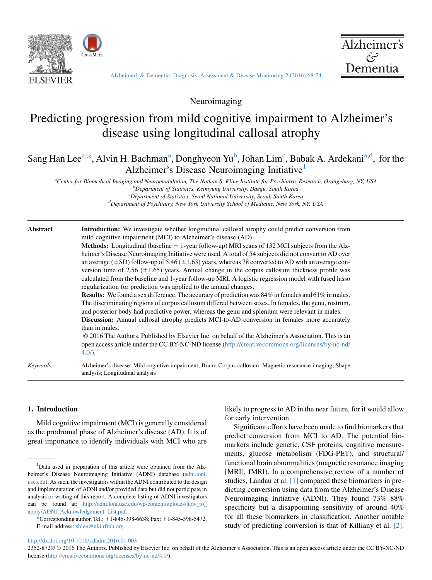



[Alzheimer's & Dementia: Diagnosis, Assessment & Disease Monitoring 2 \(2016\) 68-74](http://dx.doi.org/10.1016/j.dadm.2016.01.003)

Neuroimaging

# Predicting progression from mild cognitive impairment to Alzheimer's disease using longitudinal callosal atrophy

Sang Han Lee<sup>a,\*</sup>, Alvin H. Bachman<sup>a</sup>, Donghyeon Yu<sup>b</sup>, Johan Lim<sup>c</sup>, Babak A. Ardekani<sup>a,d</sup>, for the Alzheimer's Disease Neuroimaging Initiative<sup>1</sup>

<sup>a</sup>Center for Biomedical Imaging and Neuromodulation, The Nathan S. Kline Institute for Psychiatric Research, Orangeburg, NY, USA by Connection of Statistics, Kaimyung University Daggu, South Koneg  $b$ Department of Statistics, Keimyung University, Daegu, South Korea

 ${}^c$ Department of Statistics, Seoul National University, Seoul, South Korea Department of Psychiatry, New York University School of Medicine, New York, NY, USA

| Abstract | <b>Introduction:</b> We investigate whether longitudinal callosal atrophy could predict conversion from<br>mild cognitive impairment (MCI) to Alzheimer's disease (AD).                                                                                                                                                                                                                                                                                                                                  |
|----------|----------------------------------------------------------------------------------------------------------------------------------------------------------------------------------------------------------------------------------------------------------------------------------------------------------------------------------------------------------------------------------------------------------------------------------------------------------------------------------------------------------|
|          | <b>Methods:</b> Longitudinal (baseline $+1$ -year follow-up) MRI scans of 132 MCI subjects from the Alz-                                                                                                                                                                                                                                                                                                                                                                                                 |
|          | heimer's Disease Neuroimaging Initiative were used. A total of 54 subjects did not convert to AD over<br>an average $(\pm SD)$ follow-up of 5.46 ( $\pm 1.63$ ) years, whereas 78 converted to AD with an average con-<br>version time of 2.56 $(\pm 1.65)$ years. Annual change in the corpus callosum thickness profile was<br>calculated from the baseline and 1-year follow-up MRI. A logistic regression model with fused lasso<br>regularization for prediction was applied to the annual changes. |
|          | <b>Results:</b> We found a sex difference. The accuracy of prediction was 84% in females and 61% in males.<br>The discriminating regions of corpus callosum differed between sexes. In females, the genu, rostrum,<br>and posterior body had predictive power, whereas the genu and splenium were relevant in males.                                                                                                                                                                                     |
|          | <b>Discussion:</b> Annual callosal atrophy predicts MCI-to-AD conversion in females more accurately<br>than in males.                                                                                                                                                                                                                                                                                                                                                                                    |
|          | © 2016 The Authors. Published by Elsevier Inc. on behalf of the Alzheimer's Association. This is an<br>open access article under the CC BY-NC-ND license (http://creativecommons.org/licenses/by-nc-nd/<br>$4.0/$ ).                                                                                                                                                                                                                                                                                     |
|          |                                                                                                                                                                                                                                                                                                                                                                                                                                                                                                          |

Keywords: Alzheimer's disease; Mild cognitive impairment; Brain; Corpus callosum; Magnetic resonance imaging; Shape analysis; Longitudinal analysis

# 1. Introduction

Mild cognitive impairment (MCI) is generally considered as the prodromal phase of Alzheimer's disease (AD). It is of great importance to identify individuals with MCI who are likely to progress to AD in the near future, for it would allow for early intervention.

Significant efforts have been made to find biomarkers that predict conversion from MCI to AD. The potential biomarkers include genetic, CSF proteins, cognitive measurements, glucose metabolism (FDG-PET), and structural/ functional brain abnormalities (magnetic resonance imaging [MRI], fMRI). In a comprehensive review of a number of studies, Landau et al. [\[1\]](#page-6-0) compared these biomarkers in predicting conversion using data from the Alzheimer's Disease Neuroimaging Initiative (ADNI). They found 73%–88% specificity but a disappointing sensitivity of around 40% for all these biomarkers in classification. Another notable study of predicting conversion is that of Killiany et al. [\[2\].](#page-6-0)

<http://dx.doi.org/10.1016/j.dadm.2016.01.003>

2352-8729/  $\odot$  2016 The Authors. Published by Elsevier Inc. on behalf of the Alzheimer's Association. This is an open access article under the CC BY-NC-ND license ([http://creativecommons.org/licenses/by-nc-nd/4.0/\)](http://creativecommons.org/licenses/by-nc-nd/4.0/).

<sup>&</sup>lt;sup>1</sup>Data used in preparation of this article were obtained from the Alzheimer's Disease Neuroimaging Initiative (ADNI) database [\(adni.loni.](http://adni.loni.usc.edu) [usc.edu\)](http://adni.loni.usc.edu). As such, the investigators within the ADNI contributed to the design and implementation of ADNI and/or provided data but did not participate in analysis or writing of this report. A complete listing of ADNI investigators can be found at: [http://adni.loni.usc.edu/wp-content/uploads/how\\_to\\_](http://adni.loni.usc.edu/wp-content/uploads/how_to_apply/ADNI_Acknowledgement_List.pdf) [apply/ADNI\\_Acknowledgement\\_List.pdf.](http://adni.loni.usc.edu/wp-content/uploads/how_to_apply/ADNI_Acknowledgement_List.pdf)

<sup>\*</sup>Corresponding author. Tel.: 11-845-398-6638; Fax: 11-845-398-5472. E-mail address: [shlee@nki.rfmh.org](mailto:shlee@nki.rfmh.org)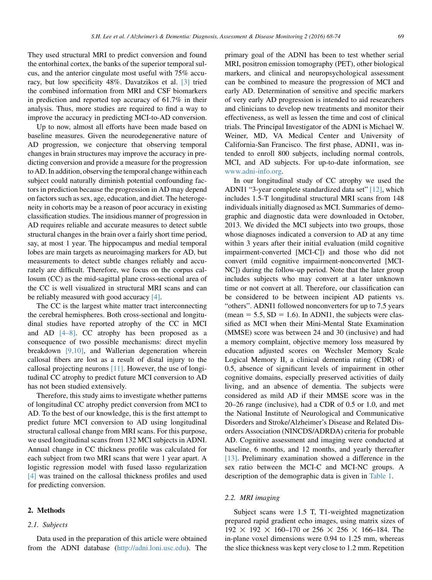They used structural MRI to predict conversion and found the entorhinal cortex, the banks of the superior temporal sulcus, and the anterior cingulate most useful with 75% accuracy, but low specificity 48%. Davatzikos et al. [\[3\]](#page-6-0) tried the combined information from MRI and CSF biomarkers in prediction and reported top accuracy of 61.7% in their analysis. Thus, more studies are required to find a way to improve the accuracy in predicting MCI-to-AD conversion.

Up to now, almost all efforts have been made based on baseline measures. Given the neurodegenerative nature of AD progression, we conjecture that observing temporal changes in brain structures may improve the accuracy in predicting conversion and provide a measure for the progression to AD. In addition, observing the temporal change within each subject could naturally diminish potential confounding factors in prediction because the progression in AD may depend on factors such as sex, age, education, and diet. The heterogeneity in cohorts may be a reason of poor accuracy in existing classification studies. The insidious manner of progression in AD requires reliable and accurate measures to detect subtle structural changes in the brain over a fairly short time period, say, at most 1 year. The hippocampus and medial temporal lobes are main targets as neuroimaging markers for AD, but measurements to detect subtle changes reliably and accurately are difficult. Therefore, we focus on the corpus callosum (CC) as the mid-sagittal plane cross-sectional area of the CC is well visualized in structural MRI scans and can be reliably measured with good accuracy [\[4\].](#page-6-0)

The CC is the largest white matter tract interconnecting the cerebral hemispheres. Both cross-sectional and longitudinal studies have reported atrophy of the CC in MCI and AD [\[4–8\].](#page-6-0) CC atrophy has been proposed as a consequence of two possible mechanisms: direct myelin breakdown [\[9,10\]](#page-6-0), and Wallerian degeneration wherein callosal fibers are lost as a result of distal injury to the callosal projecting neurons [\[11\]](#page-6-0). However, the use of longitudinal CC atrophy to predict future MCI conversion to AD has not been studied extensively.

Therefore, this study aims to investigate whether patterns of longitudinal CC atrophy predict conversion from MCI to AD. To the best of our knowledge, this is the first attempt to predict future MCI conversion to AD using longitudinal structural callosal change from MRI scans. For this purpose, we used longitudinal scans from 132 MCI subjects in ADNI. Annual change in CC thickness profile was calculated for each subject from two MRI scans that were 1 year apart. A logistic regression model with fused lasso regularization [\[4\]](#page-6-0) was trained on the callosal thickness profiles and used for predicting conversion.

## 2. Methods

#### 2.1. Subjects

Data used in the preparation of this article were obtained from the ADNI database [\(http://adni.loni.usc.edu](http://adni.loni.usc.edu)). The primary goal of the ADNI has been to test whether serial MRI, positron emission tomography (PET), other biological markers, and clinical and neuropsychological assessment can be combined to measure the progression of MCI and early AD. Determination of sensitive and specific markers of very early AD progression is intended to aid researchers and clinicians to develop new treatments and monitor their effectiveness, as well as lessen the time and cost of clinical trials. The Principal Investigator of the ADNI is Michael W. Weiner, MD, VA Medical Center and University of California-San Francisco. The first phase, ADNI1, was intended to enroll 800 subjects, including normal controls, MCI, and AD subjects. For up-to-date information, see [www.adni-info.org.](http://www.adni-info.org)

In our longitudinal study of CC atrophy we used the ADNI1 "3-year complete standardized data set" [\[12\],](#page-6-0) which includes 1.5-T longitudinal structural MRI scans from 148 individuals initially diagnosed as MCI. Summaries of demographic and diagnostic data were downloaded in October, 2013. We divided the MCI subjects into two groups, those whose diagnoses indicated a conversion to AD at any time within 3 years after their initial evaluation (mild cognitive impairment-converted [MCI-C]) and those who did not convert (mild cognitive impairment-nonconverted [MCI-NC]) during the follow-up period. Note that the later group includes subjects who may convert at a later unknown time or not convert at all. Therefore, our classification can be considered to be between incipient AD patients vs. "others". ADNI1 followed nonconverters for up to 7.5 years (mean  $= 5.5$ , SD  $= 1.6$ ). In ADNI1, the subjects were classified as MCI when their Mini-Mental State Examination (MMSE) score was between 24 and 30 (inclusive) and had a memory complaint, objective memory loss measured by education adjusted scores on Wechsler Memory Scale Logical Memory II, a clinical dementia rating (CDR) of 0.5, absence of significant levels of impairment in other cognitive domains, especially preserved activities of daily living, and an absence of dementia. The subjects were considered as mild AD if their MMSE score was in the 20–26 range (inclusive), had a CDR of 0.5 or 1.0, and met the National Institute of Neurological and Communicative Disorders and Stroke/Alzheimer's Disease and Related Disorders Association (NINCDS/ADRDA) criteria for probable AD. Cognitive assessment and imaging were conducted at baseline, 6 months, and 12 months, and yearly thereafter [\[13\].](#page-6-0) Preliminary examination showed a difference in the sex ratio between the MCI-C and MCI-NC groups. A description of the demographic data is given in [Table 1.](#page-2-0)

#### 2.2. MRI imaging

Subject scans were 1.5 T, T1-weighted magnetization prepared rapid gradient echo images, using matrix sizes of  $192 \times 192 \times 160 - 170$  or  $256 \times 256 \times 166 - 184$ . The in-plane voxel dimensions were 0.94 to 1.25 mm, whereas the slice thickness was kept very close to 1.2 mm. Repetition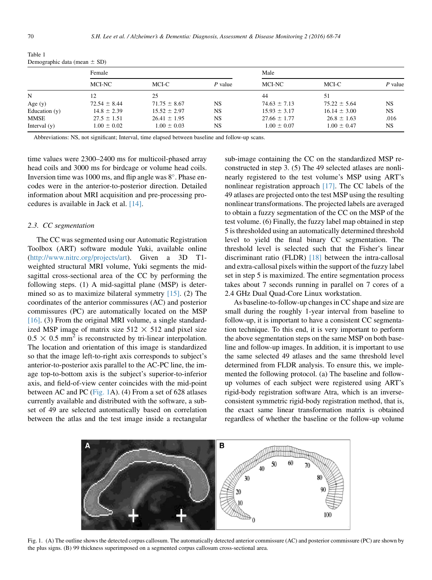|               | Female           |                  |           | Male             |                  |           |  |  |  |
|---------------|------------------|------------------|-----------|------------------|------------------|-----------|--|--|--|
|               | MCI-NC           | MCI-C            | $P$ value | MCI-NC           | MCI-C            | $P$ value |  |  |  |
|               | 12               | 25               |           | 44               | 51               |           |  |  |  |
| Age $(y)$     | $72.54 \pm 8.44$ | $71.75 \pm 8.67$ | <b>NS</b> | $74.63 \pm 7.13$ | $75.22 \pm 5.64$ | <b>NS</b> |  |  |  |
| Education (y) | $14.8 \pm 2.39$  | $15.52 \pm 2.97$ | <b>NS</b> | $15.93 \pm 3.17$ | $16.14 \pm 3.00$ | NS        |  |  |  |
| MMSE          | $27.5 \pm 1.51$  | $26.41 \pm 1.95$ | <b>NS</b> | $27.66 \pm 1.77$ | $26.8 \pm 1.63$  | .016      |  |  |  |
| Interval (y)  | $1.00 \pm 0.02$  | $1.00 \pm 0.03$  | <b>NS</b> | $1.00 \pm 0.07$  | $1.00 \pm 0.47$  | <b>NS</b> |  |  |  |
|               |                  |                  |           |                  |                  |           |  |  |  |

<span id="page-2-0"></span>Table 1 Demographic data (mean  $+$  SD)

Abbreviations: NS, not significant; Interval, time elapsed between baseline and follow-up scans.

time values were 2300–2400 ms for multicoil-phased array head coils and 3000 ms for birdcage or volume head coils. Inversion time was 1000 ms, and flip angle was  $8^\circ$ . Phase encodes were in the anterior-to-posterior direction. Detailed information about MRI acquisition and pre-processing procedures is available in Jack et al. [\[14\].](#page-6-0)

#### 2.3. CC segmentation

The CC was segmented using our Automatic Registration Toolbox (ART) software module Yuki, available online [\(http://www.nitrc.org/projects/art\)](http://www.nitrc.org/projects/art). Given a 3D T1 weighted structural MRI volume, Yuki segments the midsagittal cross-sectional area of the CC by performing the following steps. (1) A mid-sagittal plane (MSP) is determined so as to maximize bilateral symmetry  $[15]$ . (2) The coordinates of the anterior commissures (AC) and posterior commissures (PC) are automatically located on the MSP [\[16\].](#page-6-0) (3) From the original MRI volume, a single standardized MSP image of matrix size  $512 \times 512$  and pixel size  $0.5 \times 0.5$  mm<sup>2</sup> is reconstructed by tri-linear interpolation. The location and orientation of this image is standardized so that the image left-to-right axis corresponds to subject's anterior-to-posterior axis parallel to the AC-PC line, the image top-to-bottom axis is the subject's superior-to-inferior axis, and field-of-view center coincides with the mid-point between AC and PC (Fig. 1A). (4) From a set of 628 atlases currently available and distributed with the software, a subset of 49 are selected automatically based on correlation between the atlas and the test image inside a rectangular sub-image containing the CC on the standardized MSP reconstructed in step 3. (5) The 49 selected atlases are nonlinearly registered to the test volume's MSP using ART's nonlinear registration approach [\[17\].](#page-6-0) The CC labels of the 49 atlases are projected onto the test MSP using the resulting nonlinear transformations. The projected labels are averaged to obtain a fuzzy segmentation of the CC on the MSP of the test volume. (6) Finally, the fuzzy label map obtained in step 5 is thresholded using an automatically determined threshold level to yield the final binary CC segmentation. The threshold level is selected such that the Fisher's linear discriminant ratio (FLDR) [\[18\]](#page-6-0) between the intra-callosal and extra-callosal pixels within the support of the fuzzy label set in step 5 is maximized. The entire segmentation process takes about 7 seconds running in parallel on 7 cores of a 2.4 GHz Dual Quad-Core Linux workstation.

As baseline-to-follow-up changes in CC shape and size are small during the roughly 1-year interval from baseline to follow-up, it is important to have a consistent CC segmentation technique. To this end, it is very important to perform the above segmentation steps on the same MSP on both baseline and follow-up images. In addition, it is important to use the same selected 49 atlases and the same threshold level determined from FLDR analysis. To ensure this, we implemented the following protocol. (a) The baseline and followup volumes of each subject were registered using ART's rigid-body registration software Atra, which is an inverseconsistent symmetric rigid-body registration method, that is, the exact same linear transformation matrix is obtained regardless of whether the baseline or the follow-up volume



Fig. 1. (A) The outline shows the detected corpus callosum. The automatically detected anterior commissure (AC) and posterior commissure (PC) are shown by the plus signs. (B) 99 thickness superimposed on a segmented corpus callosum cross-sectional area.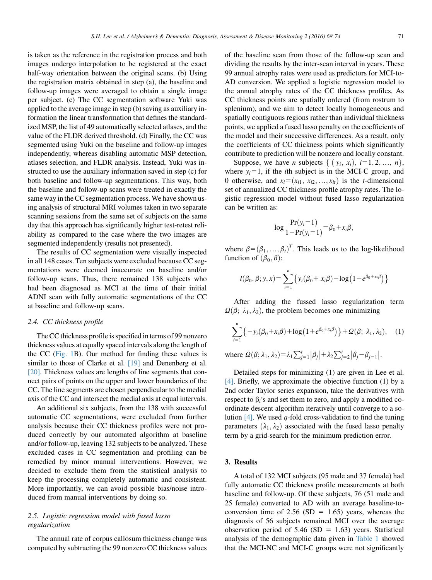is taken as the reference in the registration process and both images undergo interpolation to be registered at the exact half-way orientation between the original scans. (b) Using the registration matrix obtained in step (a), the baseline and follow-up images were averaged to obtain a single image per subject. (c) The CC segmentation software Yuki was applied to the average image in step (b) saving as auxiliary information the linear transformation that defines the standardized MSP, the list of 49 automatically selected atlases, and the value of the FLDR derived threshold. (d) Finally, the CC was segmented using Yuki on the baseline and follow-up images independently, whereas disabling automatic MSP detection, atlases selection, and FLDR analysis. Instead, Yuki was instructed to use the auxiliary information saved in step (c) for both baseline and follow-up segmentations. This way, both the baseline and follow-up scans were treated in exactly the same way in the CC segmentation process. We have shown using analysis of structural MRI volumes taken in two separate scanning sessions from the same set of subjects on the same day that this approach has significantly higher test-retest reliability as compared to the case where the two images are segmented independently (results not presented).

The results of CC segmentation were visually inspected in all 148 cases. Ten subjects were excluded because CC segmentations were deemed inaccurate on baseline and/or follow-up scans. Thus, there remained 138 subjects who had been diagnosed as MCI at the time of their initial ADNI scan with fully automatic segmentations of the CC at baseline and follow-up scans.

## 2.4. CC thickness profile

The CC thickness profile is specified in terms of 99 nonzero thickness values at equally spaced intervals along the length of the CC [\(Fig. 1B](#page-2-0)). Our method for finding these values is similar to those of Clarke et al. [\[19\]](#page-6-0) and Denenberg et al. [\[20\]](#page-6-0). Thickness values are lengths of line segments that connect pairs of points on the upper and lower boundaries of the CC. The line segments are chosen perpendicular to the medial axis of the CC and intersect the medial axis at equal intervals.

An additional six subjects, from the 138 with successful automatic CC segmentations, were excluded from further analysis because their CC thickness profiles were not produced correctly by our automated algorithm at baseline and/or follow-up, leaving 132 subjects to be analyzed. These excluded cases in CC segmentation and profiling can be remedied by minor manual interventions. However, we decided to exclude them from the statistical analysis to keep the processing completely automatic and consistent. More importantly, we can avoid possible bias/noise introduced from manual interventions by doing so.

## 2.5. Logistic regression model with fused lasso regularization

The annual rate of corpus callosum thickness change was computed by subtracting the 99 nonzero CC thickness values of the baseline scan from those of the follow-up scan and dividing the results by the inter-scan interval in years. These 99 annual atrophy rates were used as predictors for MCI-to-AD conversion. We applied a logistic regression model to the annual atrophy rates of the CC thickness profiles. As CC thickness points are spatially ordered (from rostrum to splenium), and we aim to detect locally homogeneous and spatially contiguous regions rather than individual thickness points, we applied a fused lasso penalty on the coefficients of the model and their successive differences. As a result, only the coefficients of CC thickness points which significantly contribute to prediction will be nonzero and locally constant.

Suppose, we have *n* subjects  $\{ (y_i, x_i), i=1, 2, ..., n \},\$ where  $y_i=1$ , if the *i*th subject is in the MCI-C group, and 0 otherwise, and  $x_i=(x_{i1}, x_{i2},..., x_{it})$  is the *t*-dimensional set of annualized CC thickness profile atrophy rates. The logistic regression model without fused lasso regularization can be written as:

$$
\log \frac{\Pr(y_i=1)}{1-\Pr(y_i=1)} = \beta_0 + x_i \beta,
$$

where  $\beta = (\beta_1, ..., \beta_t)^T$ . This leads us to the log-likelihood function of  $(\beta_0, \beta)$ . function of  $(\beta_0, \beta)$ :

$$
l(\beta_0, \beta; y, x) = \sum_{i=1}^n \{y_i(\beta_0 + x_i\beta) - \log(1 + e^{\beta_0 + x_i\beta})\}
$$

After adding the fussed lasso regularization term  $\Omega(\beta; \lambda_1, \lambda_2)$ , the problem becomes one minimizing

$$
\sum_{i=1}^{n} \left\{ -y_i(\beta_0 + x_i \beta) + \log \left( 1 + e^{\beta_0 + x_i \beta} \right) \right\} + \Omega(\beta; \ \lambda_1, \lambda_2), \quad (1)
$$

where  $\Omega(\beta; \lambda_1, \lambda_2) = \lambda_1 \sum_{j=1}^t |\beta_j| + \lambda_2 \sum_{j=2}^t |\beta_j - \beta_{j-1}|.$ 

Detailed steps for minimizing (1) are given in Lee et al. [\[4\]](#page-6-0). Briefly, we approximate the objective function (1) by a 2nd order Taylor series expansion, take the derivatives with respect to  $\beta_i$ 's and set them to zero, and apply a modified coordinate descent algorithm iteratively until converge to a solution  $[4]$ . We used q-fold cross-validation to find the tuning parameters  $(\lambda_1, \lambda_2)$  associated with the fused lasso penalty term by a grid-search for the minimum prediction error.

#### 3. Results

A total of 132 MCI subjects (95 male and 37 female) had fully automatic CC thickness profile measurements at both baseline and follow-up. Of these subjects, 76 (51 male and 25 female) converted to AD with an average baseline-toconversion time of 2.56 (SD = 1.65) years, whereas the diagnosis of 56 subjects remained MCI over the average observation period of 5.46 (SD = 1.63) years. Statistical analysis of the demographic data given in [Table 1](#page-2-0) showed that the MCI-NC and MCI-C groups were not significantly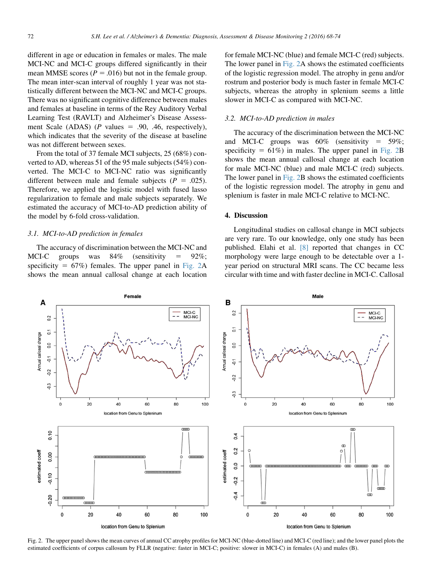different in age or education in females or males. The male MCI-NC and MCI-C groups differed significantly in their mean MMSE scores ( $P = .016$ ) but not in the female group. The mean inter-scan interval of roughly 1 year was not statistically different between the MCI-NC and MCI-C groups. There was no significant cognitive difference between males and females at baseline in terms of the Rey Auditory Verbal Learning Test (RAVLT) and Alzheimer's Disease Assessment Scale (ADAS) ( $P$  values = .90, .46, respectively), which indicates that the severity of the disease at baseline was not different between sexes.

From the total of 37 female MCI subjects, 25 (68%) converted to AD, whereas 51 of the 95 male subjects (54%) converted. The MCI-C to MCI-NC ratio was significantly different between male and female subjects ( $P = .025$ ). Therefore, we applied the logistic model with fused lasso regularization to female and male subjects separately. We estimated the accuracy of MCI-to-AD prediction ability of the model by 6-fold cross-validation.

#### 3.1. MCI-to-AD prediction in females

The accuracy of discrimination between the MCI-NC and MCI-C groups was  $84\%$  (sensitivity =  $92\%$ ; specificity =  $67\%$ ) females. The upper panel in Fig. 2A shows the mean annual callosal change at each location for female MCI-NC (blue) and female MCI-C (red) subjects. The lower panel in Fig. 2A shows the estimated coefficients of the logistic regression model. The atrophy in genu and/or rostrum and posterior body is much faster in female MCI-C subjects, whereas the atrophy in splenium seems a little slower in MCI-C as compared with MCI-NC.

#### 3.2. MCI-to-AD prediction in males

The accuracy of the discrimination between the MCI-NC and MCI-C groups was  $60\%$  (sensitivity = 59%; specificity  $= 61\%$ ) in males. The upper panel in Fig. 2B shows the mean annual callosal change at each location for male MCI-NC (blue) and male MCI-C (red) subjects. The lower panel in Fig. 2B shows the estimated coefficients of the logistic regression model. The atrophy in genu and splenium is faster in male MCI-C relative to MCI-NC.

#### 4. Discussion

Longitudinal studies on callosal change in MCI subjects are very rare. To our knowledge, only one study has been published. Elahi et al. [\[8\]](#page-6-0) reported that changes in CC morphology were large enough to be detectable over a 1 year period on structural MRI scans. The CC became less circular with time and with faster decline in MCI-C. Callosal



Fig. 2. The upper panel shows the mean curves of annual CC atrophy profiles for MCI-NC (blue-dotted line) and MCI-C (red line); and the lower panel plots the estimated coefficients of corpus callosum by FLLR (negative: faster in MCI-C; positive: slower in MCI-C) in females (A) and males (B).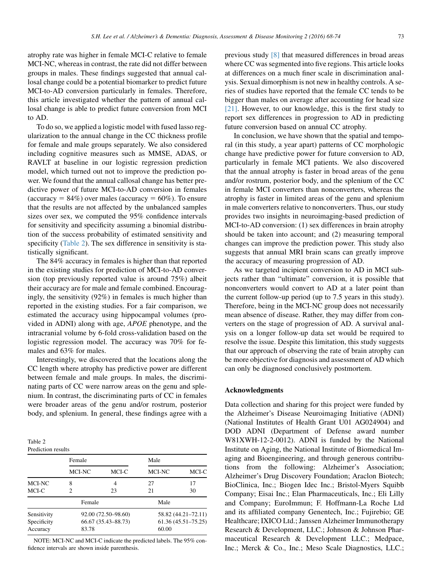atrophy rate was higher in female MCI-C relative to female MCI-NC, whereas in contrast, the rate did not differ between groups in males. These findings suggested that annual callosal change could be a potential biomarker to predict future MCI-to-AD conversion particularly in females. Therefore, this article investigated whether the pattern of annual callosal change is able to predict future conversion from MCI to AD.

To do so, we applied a logistic model with fused lasso regularization to the annual change in the CC thickness profile for female and male groups separately. We also considered including cognitive measures such as MMSE, ADAS, or RAVLT at baseline in our logistic regression prediction model, which turned out not to improve the prediction power. We found that the annual callosal change has better predictive power of future MCI-to-AD conversion in females (accuracy =  $84\%$ ) over males (accuracy =  $60\%$ ). To ensure that the results are not affected by the unbalanced samples sizes over sex, we computed the 95% confidence intervals for sensitivity and specificity assuming a binomial distribution of the success probability of estimated sensitivity and specificity (Table 2). The sex difference in sensitivity is statistically significant.

The 84% accuracy in females is higher than that reported in the existing studies for prediction of MCI-to-AD conversion (top previously reported value is around 75%) albeit their accuracy are for male and female combined. Encouragingly, the sensitivity (92%) in females is much higher than reported in the existing studies. For a fair comparison, we estimated the accuracy using hippocampal volumes (provided in ADNI) along with age, APOE phenotype, and the intracranial volume by 6-fold cross-validation based on the logistic regression model. The accuracy was 70% for females and 63% for males.

Interestingly, we discovered that the locations along the CC length where atrophy has predictive power are different between female and male groups. In males, the discriminating parts of CC were narrow areas on the genu and splenium. In contrast, the discriminating parts of CC in females were broader areas of the genu and/or rostrum, posterior body, and splenium. In general, these findings agree with a

| Table 2            |  |
|--------------------|--|
| Prediction results |  |

|             | Female              |       | Male                   |                     |  |
|-------------|---------------------|-------|------------------------|---------------------|--|
|             | MCI-NC              | MCI-C | MCI-NC                 | MCI-C               |  |
| MCI-NC      | 8                   | 4     | 27                     | 17                  |  |
| MCI-C       | 2                   | 23    | 21                     | 30                  |  |
|             | Female              |       | Male                   |                     |  |
| Sensitivity | 92.00 (72.50-98.60) |       |                        | 58.82 (44.21-72.11) |  |
| Specificity | 66.67 (35.43-88.73) |       | $61.36(45.51 - 75.25)$ |                     |  |
| Accuracy    | 83.78               |       | 60.00                  |                     |  |

NOTE: MCI-NC and MCI-C indicate the predicted labels. The 95% confidence intervals are shown inside parenthesis.

previous study [\[8\]](#page-6-0) that measured differences in broad areas where CC was segmented into five regions. This article looks at differences on a much finer scale in discrimination analysis. Sexual dimorphism is not new in healthy controls. A series of studies have reported that the female CC tends to be bigger than males on average after accounting for head size [\[21\].](#page-6-0) However, to our knowledge, this is the first study to report sex differences in progression to AD in predicting future conversion based on annual CC atrophy.

In conclusion, we have shown that the spatial and temporal (in this study, a year apart) patterns of CC morphologic change have predictive power for future conversion to AD, particularly in female MCI patients. We also discovered that the annual atrophy is faster in broad areas of the genu and/or rostrum, posterior body, and the splenium of the CC in female MCI converters than nonconverters, whereas the atrophy is faster in limited areas of the genu and splenium in male converters relative to nonconverters. Thus, our study provides two insights in neuroimaging-based prediction of MCI-to-AD conversion: (1) sex differences in brain atrophy should be taken into account; and (2) measuring temporal changes can improve the prediction power. This study also suggests that annual MRI brain scans can greatly improve the accuracy of measuring progression of AD.

As we targeted incipient conversion to AD in MCI subjects rather than "ultimate" conversion, it is possible that nonconverters would convert to AD at a later point than the current follow-up period (up to 7.5 years in this study). Therefore, being in the MCI-NC group does not necessarily mean absence of disease. Rather, they may differ from converters on the stage of progression of AD. A survival analysis on a longer follow-up data set would be required to resolve the issue. Despite this limitation, this study suggests that our approach of observing the rate of brain atrophy can be more objective for diagnosis and assessment of AD which can only be diagnosed conclusively postmortem.

## Acknowledgments

Data collection and sharing for this project were funded by the Alzheimer's Disease Neuroimaging Initiative (ADNI) (National Institutes of Health Grant U01 AG024904) and DOD ADNI (Department of Defense award number W81XWH-12-2-0012). ADNI is funded by the National Institute on Aging, the National Institute of Biomedical Imaging and Bioengineering, and through generous contributions from the following: Alzheimer's Association; Alzheimer's Drug Discovery Foundation; Araclon Biotech; BioClinica, Inc.; Biogen Idec Inc.; Bristol-Myers Squibb Company; Eisai Inc.; Elan Pharmaceuticals, Inc.; Eli Lilly and Company; EuroImmun; F. Hoffmann-La Roche Ltd and its affiliated company Genentech, Inc.; Fujirebio; GE Healthcare; IXICO Ltd.; Janssen Alzheimer Immunotherapy Research & Development, LLC.; Johnson & Johnson Pharmaceutical Research & Development LLC.; Medpace, Inc.; Merck & Co., Inc.; Meso Scale Diagnostics, LLC.;